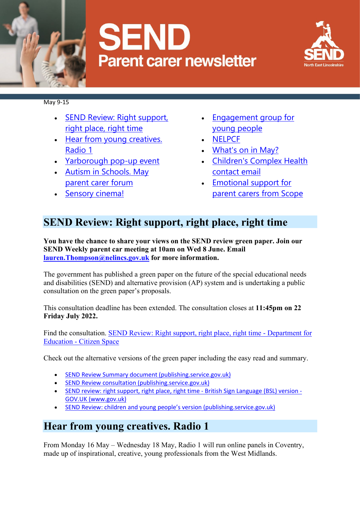

# **SEND Parent carer newsletter**



May 9-15

- [SEND Review: Right support,](https://sendlocaloffer.nelincs.gov.uk/wp-admin/post.php?post=15592&action=edit#SEND-Review:-Right-support,-right-place,-right-time)  [right place, right time](https://sendlocaloffer.nelincs.gov.uk/wp-admin/post.php?post=15592&action=edit#SEND-Review:-Right-support,-right-place,-right-time)
- [Hear from young creatives.](https://sendlocaloffer.nelincs.gov.uk/wp-admin/post.php?post=15592&action=edit#Hear-from-young-creatives.-Radio-1)  [Radio 1](https://sendlocaloffer.nelincs.gov.uk/wp-admin/post.php?post=15592&action=edit#Hear-from-young-creatives.-Radio-1)
- [Yarborough pop-up event](https://sendlocaloffer.nelincs.gov.uk/wp-admin/post.php?post=15592&action=edit#Yarborough-pop-up-event)
- [Autism in Schools. May](https://sendlocaloffer.nelincs.gov.uk/wp-admin/post.php?post=15592&action=edit#Autism-in-Schools.-May-parent-carer-forum)  [parent carer forum](https://sendlocaloffer.nelincs.gov.uk/wp-admin/post.php?post=15592&action=edit#Autism-in-Schools.-May-parent-carer-forum)
- [Sensory cinema!](https://sendlocaloffer.nelincs.gov.uk/wp-admin/post.php?post=15592&action=edit#Sensory-cinema!)
- [Engagement group for](https://sendlocaloffer.nelincs.gov.uk/wp-admin/post.php?post=15592&action=edit#Engagement-group-for-young-people)  [young people](https://sendlocaloffer.nelincs.gov.uk/wp-admin/post.php?post=15592&action=edit#Engagement-group-for-young-people)
- [NELPCF](https://sendlocaloffer.nelincs.gov.uk/wp-admin/post.php?post=15592&action=edit#NELPCF)
- [What's on in May?](https://sendlocaloffer.nelincs.gov.uk/wp-admin/post.php?post=15592&action=edit#What)
- [Children's Complex Health](https://sendlocaloffer.nelincs.gov.uk/wp-admin/post.php?post=15592&action=edit#Children)  [contact email](https://sendlocaloffer.nelincs.gov.uk/wp-admin/post.php?post=15592&action=edit#Children)
- [Emotional support for](https://sendlocaloffer.nelincs.gov.uk/wp-admin/post.php?post=15592&action=edit#Emotional-support-for-parent-carers-from-Scope)  [parent carers from Scope](https://sendlocaloffer.nelincs.gov.uk/wp-admin/post.php?post=15592&action=edit#Emotional-support-for-parent-carers-from-Scope)

## **SEND Review: Right support, right place, right time**

**You have the chance to share your views on the SEND review green paper. Join our SEND Weekly parent car meeting at 10am on Wed 8 June. Email [lauren.Thompson@nelincs.gov.uk](mailto:lauren.Thompson@nelincs.gov.uk) for more information.**

The government has published a green paper on the future of the special educational needs and disabilities (SEND) and alternative provision (AP) system and is undertaking a public consultation on the green paper's proposals.

This consultation deadline has been extended. The consultation closes at **11:45pm on 22 Friday July 2022.**

Find the consultation. [SEND Review: Right support, right place, right time -](https://consult.education.gov.uk/send-review-division/send-review-2022/) Department for Education - [Citizen Space](https://consult.education.gov.uk/send-review-division/send-review-2022/)

Check out the alternative versions of the green paper including the easy read and summary.

- [SEND Review Summary document \(publishing.service.gov.uk\)](https://assets.publishing.service.gov.uk/government/uploads/system/uploads/attachment_data/file/1064655/SEND_Review_Right_support_right_place_right_time_summary.pdf)
- [SEND Review consultation \(publishing.service.gov.uk\)](https://assets.publishing.service.gov.uk/government/uploads/system/uploads/attachment_data/file/1073623/SEND_Review_consultation_Easy_Read.pdf)
- SEND review: right support, right place, right time [British Sign Language \(BSL\) version -](https://www.gov.uk/government/consultations/send-review-right-support-right-place-right-time/send-review-right-support-right-place-right-time-british-sign-language-bsl-version) [GOV.UK \(www.gov.uk\)](https://www.gov.uk/government/consultations/send-review-right-support-right-place-right-time/send-review-right-support-right-place-right-time-british-sign-language-bsl-version)
- [SEND Review: children and young people's version \(publishing.service.gov.uk\)](https://assets.publishing.service.gov.uk/government/uploads/system/uploads/attachment_data/file/1073486/SEND_green_paper_-_guide_for_children_and_young_people.pdf)

## **Hear from young creatives. Radio 1**

From Monday 16 May – Wednesday 18 May, Radio 1 will run online panels in Coventry, made up of inspirational, creative, young professionals from the West Midlands.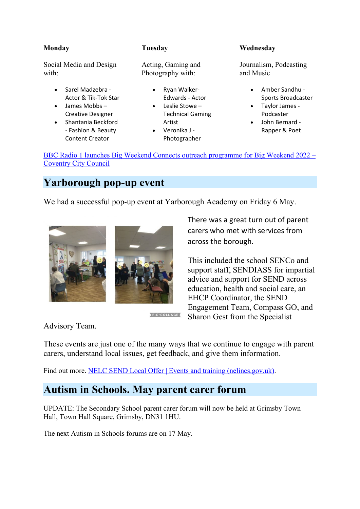#### **Monday**

**Tuesday**

Social Media and Design with:

- Sarel Madzebra Actor & Tik-Tok Star
- James Mobbs Creative Designer
- Shantania Beckford - Fashion & Beauty Content Creator

Acting, Gaming and Photography with:

- Ryan Walker-Edwards - Actor
- Leslie Stowe Technical Gaming Artist
- Veronika J Photographer

#### **Wednesday**

Journalism, Podcasting and Music

- Amber Sandhu Sports Broadcaster
- Taylor James Podcaster
- John Bernard Rapper & Poet

[BBC Radio 1 launches Big Weekend Connects outreach programme for Big Weekend 2022 –](https://www.coventry.gov.uk/news/article/4246/bbc-radio-1-launches-big-weekend-connects-outreach-programme-for-big-weekend-2022) [Coventry City Council](https://www.coventry.gov.uk/news/article/4246/bbc-radio-1-launches-big-weekend-connects-outreach-programme-for-big-weekend-2022)

## **Yarborough pop-up event**

We had a successful pop-up event at Yarborough Academy on Friday 6 May.



PIC.COLLAGE

There was a great turn out of parent carers who met with services from across the borough.

This included the school SENCo and support staff, SENDIASS for impartial advice and support for SEND across education, health and social care, an EHCP Coordinator, the SEND Engagement Team, Compass GO, and Sharon Gest from the Specialist

Advisory Team.

These events are just one of the many ways that we continue to engage with parent carers, understand local issues, get feedback, and give them information.

Find out more. [NELC SEND Local Offer | Events and training \(nelincs.gov.uk\).](https://sendlocaloffer.nelincs.gov.uk/home/events/)

## **Autism in Schools. May parent carer forum**

UPDATE: The Secondary School parent carer forum will now be held at Grimsby Town Hall, Town Hall Square, Grimsby, DN31 1HU.

The next Autism in Schools forums are on 17 May.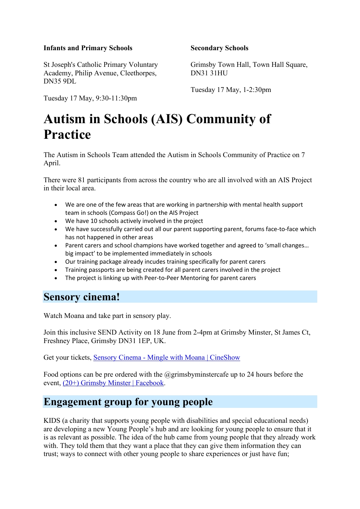#### **Infants and Primary Schools**

St Joseph's Catholic Primary Voluntary Academy, Philip Avenue, Cleethorpes, DN35 9DL

Tuesday 17 May, 9:30-11:30pm

#### **Secondary Schools**

Grimsby Town Hall, Town Hall Square, DN31 31HU

Tuesday 17 May, 1-2:30pm

## **Autism in Schools (AIS) Community of Practice**

The Autism in Schools Team attended the Autism in Schools Community of Practice on 7 April.

There were 81 participants from across the country who are all involved with an AIS Project in their local area.

- We are one of the few areas that are working in partnership with mental health support team in schools (Compass Go!) on the AIS Project
- We have 10 schools actively involved in the project
- We have successfully carried out all our parent supporting parent, forums face-to-face which has not happened in other areas
- Parent carers and school champions have worked together and agreed to 'small changes... big impact' to be implemented immediately in schools
- Our training package already incudes training specifically for parent carers
- Training passports are being created for all parent carers involved in the project
- The project is linking up with Peer-to-Peer Mentoring for parent carers

### **Sensory cinema!**

Watch Moana and take part in sensory play.

Join this inclusive SEND Activity on 18 June from 2-4pm at Grimsby Minster, St James Ct, Freshney Place, Grimsby DN31 1EP, UK.

Get your tickets, Sensory Cinema - [Mingle with Moana | CineShow](https://www.cineshow.co.uk/event-details/sensory-cinema-mingle-with-moana?fbclid=IwAR3DQ2KYNqoZ6r4jdyJbcHBj9xwZHeGmDxUYXbyW9Hwjk2xypYncw35lTds)

Food options can be pre ordered with the  $@grims$ byminstercafe up to 24 hours before the event, [\(20+\) Grimsby Minster | Facebook.](https://www.facebook.com/grimsbyminster/)

## **Engagement group for young people**

KIDS (a charity that supports young people with disabilities and special educational needs) are developing a new Young People's hub and are looking for young people to ensure that it is as relevant as possible. The idea of the hub came from young people that they already work with. They told them that they want a place that they can give them information they can trust; ways to connect with other young people to share experiences or just have fun;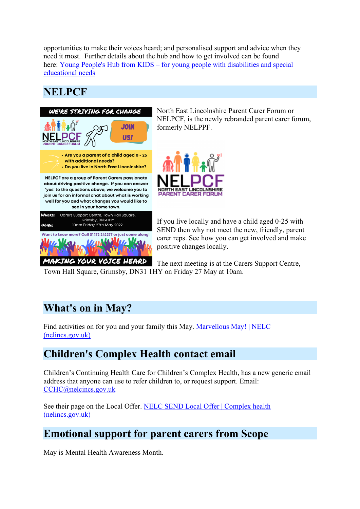opportunities to make their voices heard; and personalised support and advice when they need it most. Further details about the hub and how to get involved can be found here: Young People's Hub from KIDS – [for young people with disabilities and special](https://hub.kids.org.uk/)  [educational needs](https://hub.kids.org.uk/)

## **NELPCF**



North East Lincolnshire Parent Carer Forum or NELPCF, is the newly rebranded parent carer forum, formerly NELPPF.



If you live locally and have a child aged 0-25 with SEND then why not meet the new, friendly, parent carer reps. See how you can get involved and make positive changes locally.

The next meeting is at the Carers Support Centre, Town Hall Square, Grimsby, DN31 1HY on Friday 27 May at 10am.

## **What's on in May?**

Find activities on for you and your family this May. [Marvellous May! | NELC](https://www.nelincs.gov.uk/marvellous-may/)  [\(nelincs.gov.uk\)](https://www.nelincs.gov.uk/marvellous-may/)

## **Children's Complex Health contact email**

Children's Continuing Health Care for Children's Complex Health, has a new generic email address that anyone can use to refer children to, or request support. Email: [CCHC@nelcincs.gov.uk](mailto:CCHC@nelcincs.gov.uk)

See their page on the Local Offer. [NELC SEND Local Offer | Complex health](https://sendlocaloffer.nelincs.gov.uk/home/complex-health/)  [\(nelincs.gov.uk\)](https://sendlocaloffer.nelincs.gov.uk/home/complex-health/)

## **Emotional support for parent carers from Scope**

May is Mental Health Awareness Month.